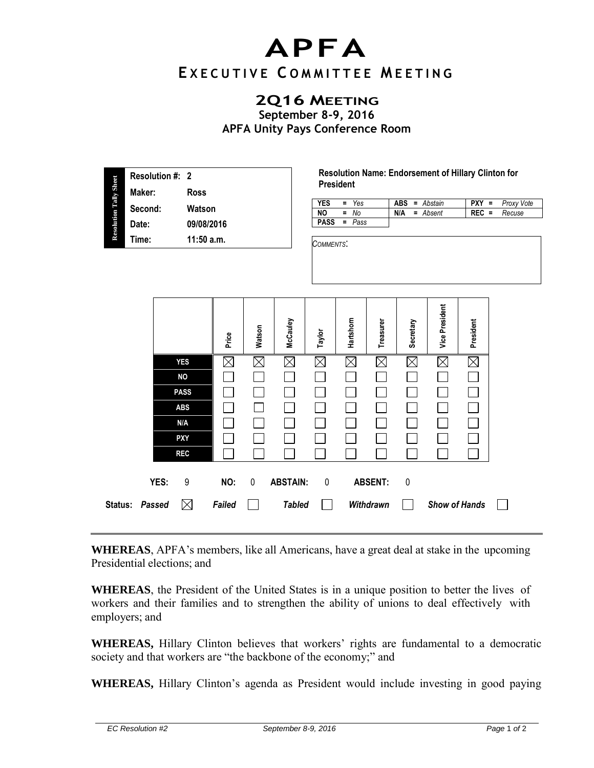## **APFA**

## **E X E C U T I V E C O M M I T T E E M E E T I N G**

## **2Q16 MEETING**

**September 8-9, 2016 APFA Unity Pays Conference Room** 

|                               | Resolution #: 2 |              |
|-------------------------------|-----------------|--------------|
|                               | Maker:          | <b>Ross</b>  |
| <b>Resolution Tally Sheet</b> | Second:         | Watson       |
|                               | Date:           | 09/08/2016   |
|                               | Time:           | $11:50$ a.m. |
|                               |                 |              |

**Resolution Name: Endorsement of Hillary Clinton for President** 

| <b>YES</b>  | $= Y_{\text{es}}$ |     | <b>ABS</b> = Abstain |         | $PXY = Proxy$ Vote |
|-------------|-------------------|-----|----------------------|---------|--------------------|
| NO.         | $=$ No            | N/A | = Absent             | $REC =$ | Recuse             |
| <b>PASS</b> | = Pass            |     |                      |         |                    |

*COMMENTS*:

| JOMMENT. |  |  |  |
|----------|--|--|--|
|          |  |  |  |

|         |        |             | Price       | Watson      | McCauley        | Taylor      | Hartshom    | Treasurer      | Secretary   | <b>Vice President</b> | President   |  |
|---------|--------|-------------|-------------|-------------|-----------------|-------------|-------------|----------------|-------------|-----------------------|-------------|--|
|         |        | <b>YES</b>  | $\boxtimes$ | $\boxtimes$ | $\boxtimes$     | $\boxtimes$ | $\boxtimes$ | $\times$       | $\boxtimes$ | $\boxtimes$           | $\boxtimes$ |  |
|         |        | <b>NO</b>   |             |             |                 |             |             |                |             |                       |             |  |
|         |        | <b>PASS</b> |             |             |                 |             |             |                |             |                       |             |  |
|         |        | <b>ABS</b>  |             |             |                 |             |             |                |             |                       |             |  |
|         |        | N/A         |             |             |                 |             |             |                |             |                       |             |  |
|         |        | <b>PXY</b>  |             |             |                 |             |             |                |             |                       |             |  |
|         |        | <b>REC</b>  |             |             |                 |             |             |                |             |                       |             |  |
|         | YES:   | 9           | NO:         | 0           | <b>ABSTAIN:</b> | $\pmb{0}$   |             | <b>ABSENT:</b> | $\mathbf 0$ |                       |             |  |
| Status: | Passed | $\boxtimes$ | Failed      |             | <b>Tabled</b>   |             |             | Withdrawn      |             | <b>Show of Hands</b>  |             |  |

**WHEREAS**, APFA's members, like all Americans, have a great deal at stake in the upcoming Presidential elections; and

**WHEREAS**, the President of the United States is in a unique position to better the lives of workers and their families and to strengthen the ability of unions to deal effectively with employers; and

**WHEREAS,** Hillary Clinton believes that workers' rights are fundamental to a democratic society and that workers are "the backbone of the economy;" and

**WHEREAS,** Hillary Clinton's agenda as President would include investing in good paying